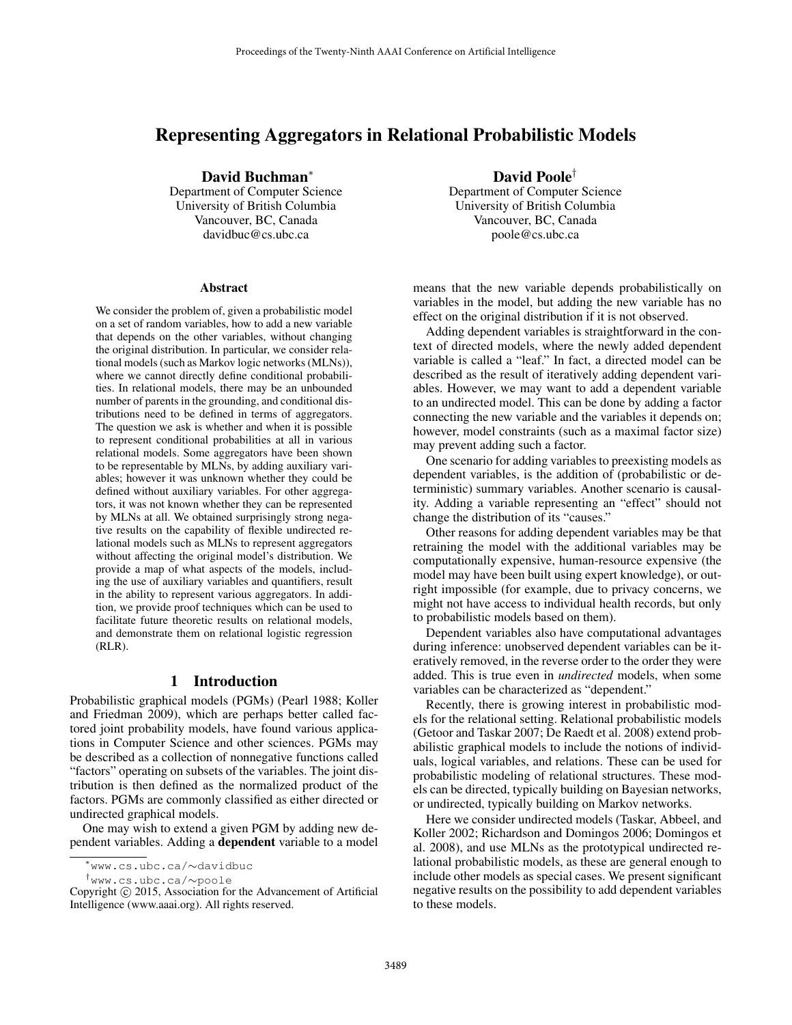# Representing Aggregators in Relational Probabilistic Models

David Buchman<sup>∗</sup> Department of Computer Science

University of British Columbia Vancouver, BC, Canada davidbuc@cs.ubc.ca

#### Abstract

We consider the problem of, given a probabilistic model on a set of random variables, how to add a new variable that depends on the other variables, without changing the original distribution. In particular, we consider relational models (such as Markov logic networks (MLNs)), where we cannot directly define conditional probabilities. In relational models, there may be an unbounded number of parents in the grounding, and conditional distributions need to be defined in terms of aggregators. The question we ask is whether and when it is possible to represent conditional probabilities at all in various relational models. Some aggregators have been shown to be representable by MLNs, by adding auxiliary variables; however it was unknown whether they could be defined without auxiliary variables. For other aggregators, it was not known whether they can be represented by MLNs at all. We obtained surprisingly strong negative results on the capability of flexible undirected relational models such as MLNs to represent aggregators without affecting the original model's distribution. We provide a map of what aspects of the models, including the use of auxiliary variables and quantifiers, result in the ability to represent various aggregators. In addition, we provide proof techniques which can be used to facilitate future theoretic results on relational models, and demonstrate them on relational logistic regression (RLR).

# 1 Introduction

Probabilistic graphical models (PGMs) (Pearl 1988; Koller and Friedman 2009), which are perhaps better called factored joint probability models, have found various applications in Computer Science and other sciences. PGMs may be described as a collection of nonnegative functions called "factors" operating on subsets of the variables. The joint distribution is then defined as the normalized product of the factors. PGMs are commonly classified as either directed or undirected graphical models.

One may wish to extend a given PGM by adding new dependent variables. Adding a dependent variable to a model

†www.cs.ubc.ca/∼poole

David Poole†

Department of Computer Science University of British Columbia Vancouver, BC, Canada poole@cs.ubc.ca

means that the new variable depends probabilistically on variables in the model, but adding the new variable has no effect on the original distribution if it is not observed.

Adding dependent variables is straightforward in the context of directed models, where the newly added dependent variable is called a "leaf." In fact, a directed model can be described as the result of iteratively adding dependent variables. However, we may want to add a dependent variable to an undirected model. This can be done by adding a factor connecting the new variable and the variables it depends on; however, model constraints (such as a maximal factor size) may prevent adding such a factor.

One scenario for adding variables to preexisting models as dependent variables, is the addition of (probabilistic or deterministic) summary variables. Another scenario is causality. Adding a variable representing an "effect" should not change the distribution of its "causes."

Other reasons for adding dependent variables may be that retraining the model with the additional variables may be computationally expensive, human-resource expensive (the model may have been built using expert knowledge), or outright impossible (for example, due to privacy concerns, we might not have access to individual health records, but only to probabilistic models based on them).

Dependent variables also have computational advantages during inference: unobserved dependent variables can be iteratively removed, in the reverse order to the order they were added. This is true even in *undirected* models, when some variables can be characterized as "dependent."

Recently, there is growing interest in probabilistic models for the relational setting. Relational probabilistic models (Getoor and Taskar 2007; De Raedt et al. 2008) extend probabilistic graphical models to include the notions of individuals, logical variables, and relations. These can be used for probabilistic modeling of relational structures. These models can be directed, typically building on Bayesian networks, or undirected, typically building on Markov networks.

Here we consider undirected models (Taskar, Abbeel, and Koller 2002; Richardson and Domingos 2006; Domingos et al. 2008), and use MLNs as the prototypical undirected relational probabilistic models, as these are general enough to include other models as special cases. We present significant negative results on the possibility to add dependent variables to these models.

<sup>∗</sup>www.cs.ubc.ca/∼davidbuc

Copyright © 2015, Association for the Advancement of Artificial Intelligence (www.aaai.org). All rights reserved.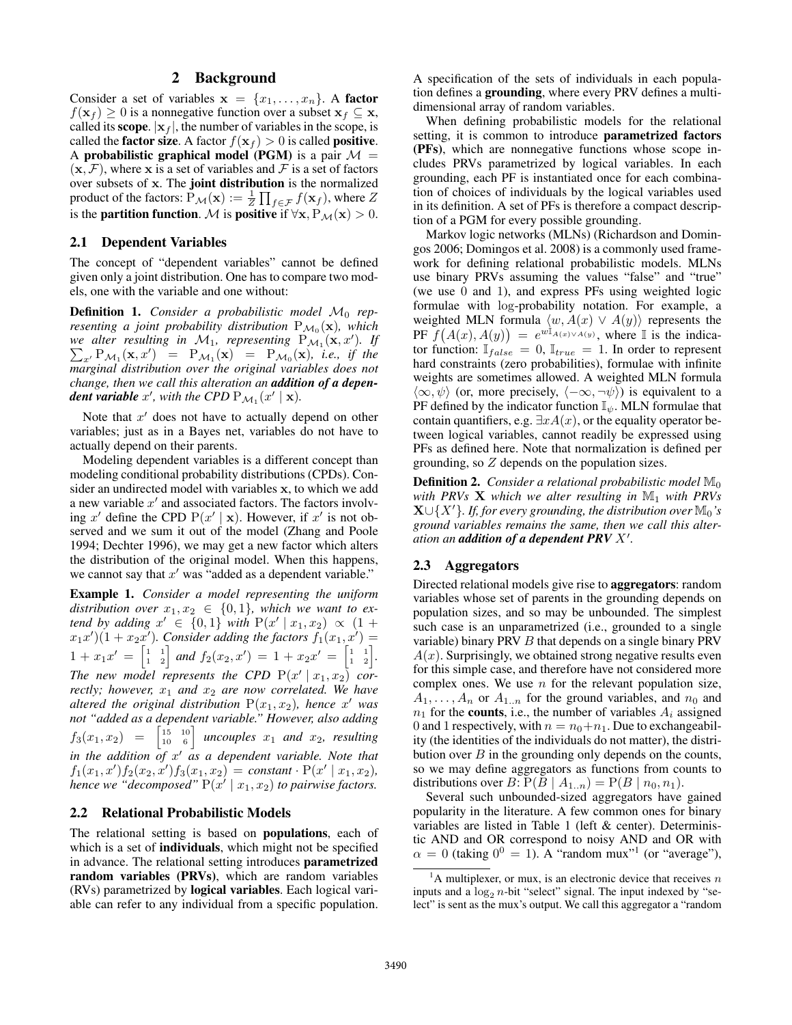### 2 Background

Consider a set of variables  $x = \{x_1, \ldots, x_n\}$ . A factor  $f(\mathbf{x}_f) \geq 0$  is a nonnegative function over a subset  $\mathbf{x}_f \subseteq \mathbf{x}$ , called its **scope**.  $|x_f|$ , the number of variables in the scope, is called the **factor size**. A factor  $f(\mathbf{x}_f) > 0$  is called **positive**. A probabilistic graphical model (PGM) is a pair  $\mathcal{M} =$  $(x, \mathcal{F})$ , where x is a set of variables and  $\mathcal F$  is a set of factors over subsets of x. The joint distribution is the normalized product of the factors:  $\bar{\mathrm{P}}_{\mathcal{M}}(\mathbf{x}) := \frac{1}{Z} \prod_{f \in \mathcal{F}} f(\mathbf{x}_f)$ , where  $Z$ is the **partition function**. M is **positive** if  $\forall x, P_{\mathcal{M}}(x) > 0$ .

#### 2.1 Dependent Variables

The concept of "dependent variables" cannot be defined given only a joint distribution. One has to compare two models, one with the variable and one without:

**Definition 1.** Consider a probabilistic model  $M_0$  rep*resenting a joint probability distribution*  $P_{\mathcal{M}_0}(\mathbf{x})$ , which we alter resulting in  $\mathcal{M}_1$ , representing  $P_{\mathcal{M}_1}({\bf x},x')$ P )*. If*  $P_{\mathcal{M}_1}(\mathbf{x}, x') = P_{\mathcal{M}_1}(\mathbf{x}) = P_{\mathcal{M}_0}(\mathbf{x})$ , *i.e.*, *if the marginal distribution over the original variables does not change, then we call this alteration an addition of a dependent variable*  $x'$ , with the CPD  $P_{\mathcal{M}_1}(x' | \mathbf{x})$ .

Note that  $x'$  does not have to actually depend on other variables; just as in a Bayes net, variables do not have to actually depend on their parents.

Modeling dependent variables is a different concept than modeling conditional probability distributions (CPDs). Consider an undirected model with variables x, to which we add a new variable  $x'$  and associated factors. The factors involving x' define the CPD  $P(x' | x)$ . However, if x' is not observed and we sum it out of the model (Zhang and Poole 1994; Dechter 1996), we may get a new factor which alters the distribution of the original model. When this happens, we cannot say that  $x'$  was "added as a dependent variable."

Example 1. *Consider a model representing the uniform distribution over*  $x_1, x_2 \in \{0, 1\}$ *, which we want to extend by adding*  $x'$  ∈ {0,1} *with*  $P(x' | x_1, x_2) \propto (1 +$  $(x_1x')(1+x_2x')$ . Consider adding the factors  $f_1(x_1,x')=$  $1 + x_1x' = \begin{bmatrix} 1 & 1 \\ 1 & 2 \end{bmatrix}$  and  $f_2(x_2, x') = 1 + x_2x' = \begin{bmatrix} 1 & 1 \\ 1 & 2 \end{bmatrix}$ . The new model represents the CPD  $P(x' | x_1, x_2)$  cor*rectly; however,*  $x_1$  *and*  $x_2$  *are now correlated. We have altered the original distribution*  $P(x_1, x_2)$ , hence x' was *not "added as a dependent variable." However, also adding*  $f_3(x_1, x_2) = \begin{bmatrix} 15 & 10 \\ 10 & 6 \end{bmatrix}$  *uncouples*  $x_1$  *and*  $x_2$ *, resulting in the addition of* x <sup>0</sup> *as a dependent variable. Note that*  $f_1(x_1, x') f_2(x_2, x') f_3(x_1, x_2) = constant \cdot P(x' | x_1, x_2),$ hence we "decomposed"  $P(x' | x_1, x_2)$  to pairwise factors.

### 2.2 Relational Probabilistic Models

The relational setting is based on populations, each of which is a set of **individuals**, which might not be specified in advance. The relational setting introduces parametrized random variables (PRVs), which are random variables (RVs) parametrized by logical variables. Each logical variable can refer to any individual from a specific population. A specification of the sets of individuals in each population defines a grounding, where every PRV defines a multidimensional array of random variables.

When defining probabilistic models for the relational setting, it is common to introduce **parametrized factors** (PFs), which are nonnegative functions whose scope includes PRVs parametrized by logical variables. In each grounding, each PF is instantiated once for each combination of choices of individuals by the logical variables used in its definition. A set of PFs is therefore a compact description of a PGM for every possible grounding.

Markov logic networks (MLNs) (Richardson and Domingos 2006; Domingos et al. 2008) is a commonly used framework for defining relational probabilistic models. MLNs use binary PRVs assuming the values "false" and "true" (we use 0 and 1), and express PFs using weighted logic formulae with log-probability notation. For example, a weighted MLN formula  $\langle w, A(x) \vee A(y) \rangle$  represents the PF  $f(A(x), A(y)) = e^{w\mathbb{I}_{A(x)\vee A(y)}}$ , where I is the indicator function:  $\mathbb{I}_{false} = 0$ ,  $\mathbb{I}_{true} = 1$ . In order to represent hard constraints (zero probabilities), formulae with infinite weights are sometimes allowed. A weighted MLN formula  $\langle \infty, \psi \rangle$  (or, more precisely,  $\langle -\infty, \neg \psi \rangle$ ) is equivalent to a PF defined by the indicator function  $\mathbb{I}_{\psi}$ . MLN formulae that contain quantifiers, e.g.  $\exists x A(x)$ , or the equality operator between logical variables, cannot readily be expressed using PFs as defined here. Note that normalization is defined per grounding, so Z depends on the population sizes.

**Definition 2.** *Consider a relational probabilistic model*  $\mathbb{M}_0$ *with PRVs* **X** *which we alter resulting in*  $M_1$  *with PRVs*  $\mathbf{X}\cup\{X'\}$ *. If, for every grounding, the distribution over*  $\mathbb{M}_0$ *'s ground variables remains the same, then we call this alter*ation an **addition of a dependent PRV** X'.

#### 2.3 Aggregators

Directed relational models give rise to aggregators: random variables whose set of parents in the grounding depends on population sizes, and so may be unbounded. The simplest such case is an unparametrized (i.e., grounded to a single variable) binary PRV B that depends on a single binary PRV  $A(x)$ . Surprisingly, we obtained strong negative results even for this simple case, and therefore have not considered more complex ones. We use  $n$  for the relevant population size,  $A_1, \ldots, A_n$  or  $A_{1..n}$  for the ground variables, and  $n_0$  and  $n_1$  for the **counts**, i.e., the number of variables  $A_i$  assigned 0 and 1 respectively, with  $n = n_0+n_1$ . Due to exchangeability (the identities of the individuals do not matter), the distribution over  $B$  in the grounding only depends on the counts, so we may define aggregators as functions from counts to distributions over  $B: P(B \mid A_{1..n}) = P(B \mid n_0, n_1)$ .

Several such unbounded-sized aggregators have gained popularity in the literature. A few common ones for binary variables are listed in Table 1 (left & center). Deterministic AND and OR correspond to noisy AND and OR with  $\alpha = 0$  (taking  $0^0 = 1$ ). A "random mux"<sup>1</sup> (or "average"),

<sup>&</sup>lt;sup>1</sup>A multiplexer, or mux, is an electronic device that receives  $n$ inputs and a  $\log_2 n$ -bit "select" signal. The input indexed by "select" is sent as the mux's output. We call this aggregator a "random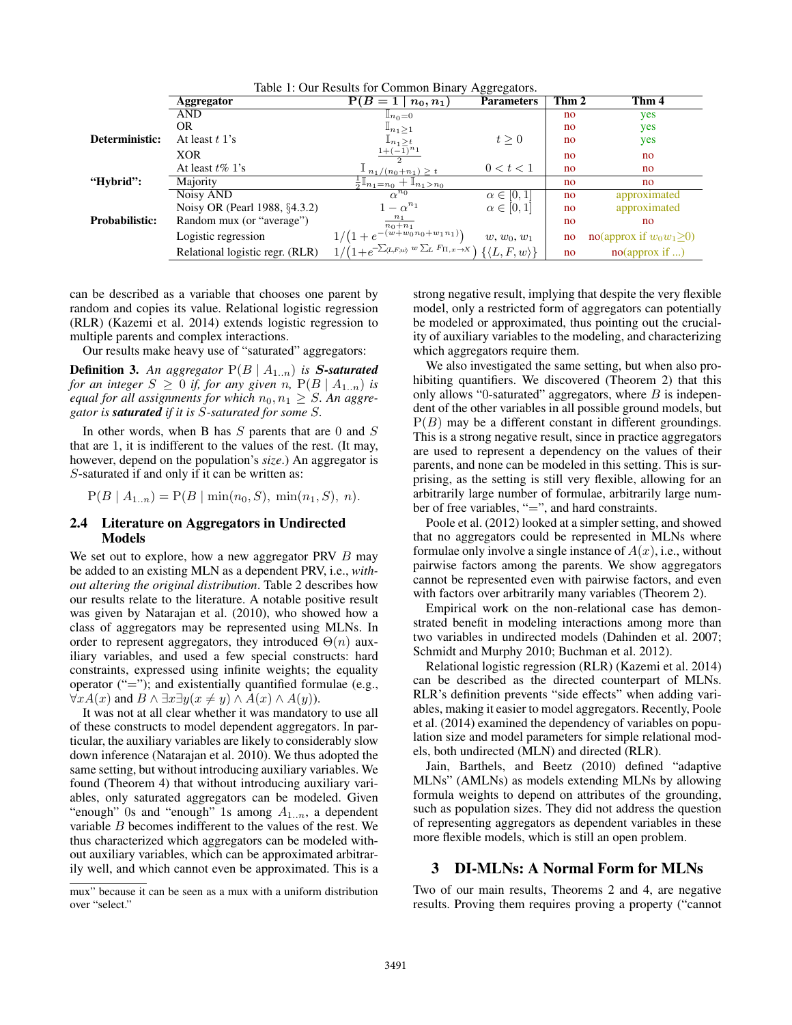|                       | Table 1: Our Results for Common Binary Aggregators. |                                                                            |                    |       |                           |  |  |  |  |
|-----------------------|-----------------------------------------------------|----------------------------------------------------------------------------|--------------------|-------|---------------------------|--|--|--|--|
|                       | Aggregator                                          | $P(B=1)$<br>$n_0, n_1)$                                                    | <b>Parameters</b>  | Thm 2 | Thm 4                     |  |  |  |  |
|                       | AND                                                 | $\mathbb{I}_{n_0=0}$                                                       |                    | no    | yes                       |  |  |  |  |
|                       | OR.                                                 | $\mathbb{I}_{n_1\geq 1}$                                                   |                    | no    | yes                       |  |  |  |  |
| Deterministic:        | At least $t$ 1's                                    | $\mathbb{I}_{n_1>t}$                                                       | t > 0              | no    | yes                       |  |  |  |  |
|                       | <b>XOR</b>                                          | $1+(-1)^{n_1}$                                                             |                    | no    | no                        |  |  |  |  |
|                       | At least $t\%$ 1's                                  | $\perp n_1/(n_0+n_1) \geq t$                                               | 0 < t < 1          | no    | no                        |  |  |  |  |
| "Hybrid":             | Majority                                            | $\frac{1}{2} \mathbb{I}_{n_1=n_0} + \mathbb{I}_{n_1>n_0}$                  |                    | no    | no                        |  |  |  |  |
|                       | Noisy AND                                           | $\alpha^{n_0}$                                                             | $\alpha \in [0,1]$ | no    | approximated              |  |  |  |  |
|                       | Noisy OR (Pearl 1988, §4.3.2)                       | $-\alpha^{n_1}$                                                            | $\alpha \in [0,1]$ | no    | approximated              |  |  |  |  |
| <b>Probabilistic:</b> | Random mux (or "average")                           | $\frac{n_1}{n_0+n_1}$                                                      |                    | no    | no                        |  |  |  |  |
|                       | Logistic regression                                 | $1/(1+e^{-(w+w_0 n_0+w_1 n_1)})$                                           | $w, w_0, w_1$      | no    | no(approx if $w_0w_1>0$ ) |  |  |  |  |
|                       | Relational logistic regr. (RLR)                     | $1/(1+e^{-\sum_{(L,F,w)}w\sum_{L}F_{\Pi,x\to X}})\{\langle L,F,w\rangle\}$ |                    | no    | no(approx if )            |  |  |  |  |

Table 1: Our Results for Common Binary Aggregators.

can be described as a variable that chooses one parent by random and copies its value. Relational logistic regression (RLR) (Kazemi et al. 2014) extends logistic regression to multiple parents and complex interactions.

Our results make heavy use of "saturated" aggregators:

**Definition 3.** An aggregator  $P(B | A_{1..n})$  is S-saturated *for an integer*  $S \geq 0$  *if, for any given* n,  $P(B \mid A_{1..n})$  *is equal for all assignments for which*  $n_0, n_1 \geq S$ . An aggre*gator is saturated if it is* S*-saturated for some* S*.*

In other words, when B has  $S$  parents that are 0 and  $S$ that are 1, it is indifferent to the values of the rest. (It may, however, depend on the population's *size*.) An aggregator is S-saturated if and only if it can be written as:

 $P(B \mid A_{1..n}) = P(B \mid min(n_0, S), min(n_1, S), n).$ 

#### 2.4 Literature on Aggregators in Undirected Models

We set out to explore, how a new aggregator PRV  $B$  may be added to an existing MLN as a dependent PRV, i.e., *without altering the original distribution*. Table 2 describes how our results relate to the literature. A notable positive result was given by Natarajan et al. (2010), who showed how a class of aggregators may be represented using MLNs. In order to represent aggregators, they introduced  $\Theta(n)$  auxiliary variables, and used a few special constructs: hard constraints, expressed using infinite weights; the equality operator  $("="")$ ; and existentially quantified formulae (e.g.,  $\forall x A(x)$  and  $B \wedge \exists x \exists y (x \neq y) \wedge A(x) \wedge A(y)$ .

It was not at all clear whether it was mandatory to use all of these constructs to model dependent aggregators. In particular, the auxiliary variables are likely to considerably slow down inference (Natarajan et al. 2010). We thus adopted the same setting, but without introducing auxiliary variables. We found (Theorem 4) that without introducing auxiliary variables, only saturated aggregators can be modeled. Given "enough" 0s and "enough" 1s among  $A_{1..n}$ , a dependent variable  $B$  becomes indifferent to the values of the rest. We thus characterized which aggregators can be modeled without auxiliary variables, which can be approximated arbitrarily well, and which cannot even be approximated. This is a

mux" because it can be seen as a mux with a uniform distribution over "select."

strong negative result, implying that despite the very flexible model, only a restricted form of aggregators can potentially be modeled or approximated, thus pointing out the cruciality of auxiliary variables to the modeling, and characterizing which aggregators require them.

We also investigated the same setting, but when also prohibiting quantifiers. We discovered (Theorem 2) that this only allows "0-saturated" aggregators, where  $B$  is independent of the other variables in all possible ground models, but  $P(B)$  may be a different constant in different groundings. This is a strong negative result, since in practice aggregators are used to represent a dependency on the values of their parents, and none can be modeled in this setting. This is surprising, as the setting is still very flexible, allowing for an arbitrarily large number of formulae, arbitrarily large number of free variables, "=", and hard constraints.

Poole et al. (2012) looked at a simpler setting, and showed that no aggregators could be represented in MLNs where formulae only involve a single instance of  $A(x)$ , i.e., without pairwise factors among the parents. We show aggregators cannot be represented even with pairwise factors, and even with factors over arbitrarily many variables (Theorem 2).

Empirical work on the non-relational case has demonstrated benefit in modeling interactions among more than two variables in undirected models (Dahinden et al. 2007; Schmidt and Murphy 2010; Buchman et al. 2012).

Relational logistic regression (RLR) (Kazemi et al. 2014) can be described as the directed counterpart of MLNs. RLR's definition prevents "side effects" when adding variables, making it easier to model aggregators. Recently, Poole et al. (2014) examined the dependency of variables on population size and model parameters for simple relational models, both undirected (MLN) and directed (RLR).

Jain, Barthels, and Beetz (2010) defined "adaptive MLNs" (AMLNs) as models extending MLNs by allowing formula weights to depend on attributes of the grounding, such as population sizes. They did not address the question of representing aggregators as dependent variables in these more flexible models, which is still an open problem.

### 3 DI-MLNs: A Normal Form for MLNs

Two of our main results, Theorems 2 and 4, are negative results. Proving them requires proving a property ("cannot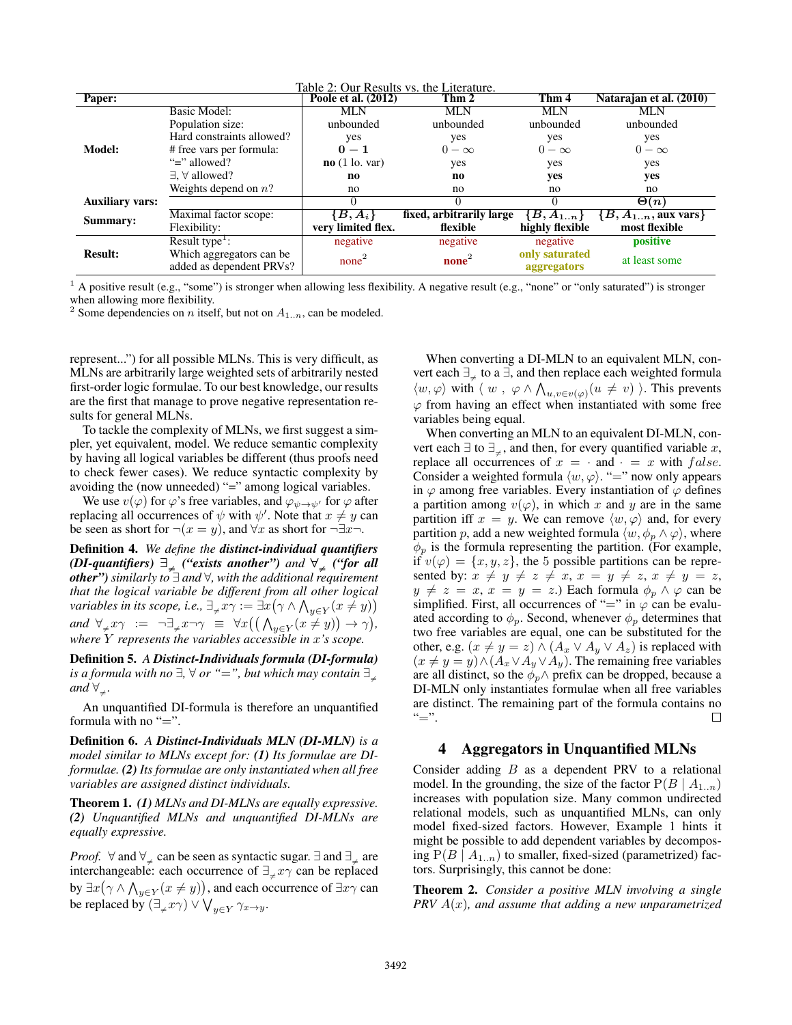| Table 2: Our Results vs. the Literature. |                                                      |                     |                          |                               |                            |  |  |  |  |
|------------------------------------------|------------------------------------------------------|---------------------|--------------------------|-------------------------------|----------------------------|--|--|--|--|
| Paper:                                   |                                                      | Poole et al. (2012) | Thm 2                    | Thm 4                         | Natarajan et al. (2010)    |  |  |  |  |
| Model:                                   | <b>Basic Model:</b>                                  | <b>MLN</b>          | <b>MLN</b>               | <b>MLN</b>                    | <b>MLN</b>                 |  |  |  |  |
|                                          | Population size:                                     | unbounded           | unbounded                | unbounded                     | unbounded                  |  |  |  |  |
|                                          | Hard constraints allowed?                            | yes                 | yes                      | yes                           | yes                        |  |  |  |  |
|                                          | # free vars per formula:                             | $0 - 1$             | $0 - \infty$             | $0-\infty$                    | $0-\infty$                 |  |  |  |  |
|                                          | " $\equiv$ " allowed?                                | no(1 lo. var)       | yes                      | yes                           | yes                        |  |  |  |  |
|                                          | $\exists$ , $\forall$ allowed?                       | no                  | no                       | yes                           | yes                        |  |  |  |  |
|                                          | Weights depend on $n$ ?                              | no                  | no                       | no                            | no                         |  |  |  |  |
| <b>Auxiliary vars:</b>                   |                                                      | 0                   |                          |                               | $\Theta(n)$                |  |  |  |  |
| Summary:                                 | Maximal factor scope:                                | $B, A_i$            | fixed, arbitrarily large | ${B, A_{1n}}$                 | ${B, A_{1n},$ aux vars $}$ |  |  |  |  |
|                                          | Flexibility:                                         | very limited flex.  | flexible                 | highly flexible               | most flexible              |  |  |  |  |
| <b>Result:</b>                           | Result type <sup><math>\pm</math></sup> :            | negative            | negative                 | negative                      | positive                   |  |  |  |  |
|                                          | Which aggregators can be<br>added as dependent PRVs? | none <sup>2</sup>   | $none2$                  | only saturated<br>aggregators | at least some              |  |  |  |  |

 $<sup>1</sup>$  A positive result (e.g., "some") is stronger when allowing less flexibility. A negative result (e.g., "none" or "only saturated") is stronger</sup> when allowing more flexibility.

<sup>2</sup> Some dependencies on *n* itself, but not on  $A_{1..n}$ , can be modeled.

represent...") for all possible MLNs. This is very difficult, as MLNs are arbitrarily large weighted sets of arbitrarily nested first-order logic formulae. To our best knowledge, our results are the first that manage to prove negative representation results for general MLNs.

To tackle the complexity of MLNs, we first suggest a simpler, yet equivalent, model. We reduce semantic complexity by having all logical variables be different (thus proofs need to check fewer cases). We reduce syntactic complexity by avoiding the (now unneeded) "=" among logical variables.

We use  $v(\varphi)$  for  $\varphi$ 's free variables, and  $\varphi_{\psi \to \psi'}$  for  $\varphi$  after replacing all occurrences of  $\psi$  with  $\psi'$ . Note that  $x \neq y$  can be seen as short for  $\neg(x = y)$ , and  $\forall x$  as short for  $\neg \exists x \neg$ .

Definition 4. *We define the distinct-individual quantifiers (DI-quantifiers)*  $\exists_{\neq}$  *("exists another") and*  $\forall_{\neq}$  *("for all other") similarly to* ∃ *and* ∀*, with the additional requirement that the logical variable be different from all other logical* variables in its scope, i.e.,  $\exists_{\neq} x \gamma := \exists x \big(\gamma \wedge \bigwedge_{y \in Y} (x \neq y)\big)$  $and \forall_{\neq} x \gamma := \neg \exists_{\neq} x \neg \gamma \equiv \forall x ((\bigwedge_{y \in Y} (x \neq y)) \rightarrow \gamma),$ *where* Y *represents the variables accessible in* x*'s scope.*

Definition 5. *A Distinct-Individuals formula (DI-formula) is a formula with no*  $\exists$ ,  $\forall$  *or "*=", *but which may contain*  $\exists_{\neq}$ *and*  $\forall_{+}$ *.* 

An unquantified DI-formula is therefore an unquantified formula with no " $=$ ".

Definition 6. *A Distinct-Individuals MLN (DI-MLN) is a model similar to MLNs except for: (1) Its formulae are DIformulae. (2) Its formulae are only instantiated when all free variables are assigned distinct individuals.*

Theorem 1. *(1) MLNs and DI-MLNs are equally expressive. (2) Unquantified MLNs and unquantified DI-MLNs are equally expressive.*

*Proof.* ∀ and  $\forall_{\perp}$  can be seen as syntactic sugar.  $\exists$  and  $\exists_{\perp}$  are interchangeable: each occurrence of  $\exists_{\neq} x \gamma$  can be replaced by  $\exists x (\gamma \wedge \bigwedge_{y \in Y} (x \neq y))$ , and each occurrence of  $\exists x \gamma$  can be replaced by  $(\exists_{\neq} x \gamma) \vee \bigvee_{y \in Y} \gamma_{x \to y}.$ 

When converting a DI-MLN to an equivalent MLN, convert each  $\exists_{+}$  to a  $\exists$ , and then replace each weighted formula  $\langle w, \varphi \rangle$  with  $\langle w, \varphi \wedge \bigwedge_{u,v \in v(\varphi)} (u \neq v) \rangle$ . This prevents  $\varphi$  from having an effect when instantiated with some free variables being equal.

When converting an MLN to an equivalent DI-MLN, convert each  $\exists$  to  $\exists_{\neq}$ , and then, for every quantified variable x, replace all occurrences of  $x = \cdot$  and  $\cdot = x$  with false. Consider a weighted formula  $\langle w, \varphi \rangle$ . "=" now only appears in  $\varphi$  among free variables. Every instantiation of  $\varphi$  defines a partition among  $v(\varphi)$ , in which x and y are in the same partition iff  $x = y$ . We can remove  $\langle w, \varphi \rangle$  and, for every partition p, add a new weighted formula  $\langle w, \phi_p \wedge \varphi \rangle$ , where  $\phi_p$  is the formula representing the partition. (For example, if  $v(\varphi) = \{x, y, z\}$ , the 5 possible partitions can be represented by:  $x \neq y \neq z \neq x, x = y \neq z, x \neq y = z$ ,  $y \neq z = x, x = y = z.$ ) Each formula  $\phi_p \wedge \varphi$  can be simplified. First, all occurrences of "=" in  $\varphi$  can be evaluated according to  $\phi_p$ . Second, whenever  $\phi_p$  determines that two free variables are equal, one can be substituted for the other, e.g.  $(x \neq y = z) \wedge (A_x \vee A_y \vee A_z)$  is replaced with  $(x \neq y = y) \wedge (A_x \vee A_y \vee A_y)$ . The remaining free variables are all distinct, so the  $\phi_p \wedge$  prefix can be dropped, because a DI-MLN only instantiates formulae when all free variables are distinct. The remaining part of the formula contains no " $=$ ".  $"="$ 

#### 4 Aggregators in Unquantified MLNs

Consider adding  $B$  as a dependent PRV to a relational model. In the grounding, the size of the factor  $P(B \mid A_{1..n})$ increases with population size. Many common undirected relational models, such as unquantified MLNs, can only model fixed-sized factors. However, Example 1 hints it might be possible to add dependent variables by decomposing  $P(B \mid A_{1..n})$  to smaller, fixed-sized (parametrized) factors. Surprisingly, this cannot be done:

Theorem 2. *Consider a positive MLN involving a single PRV* A(x)*, and assume that adding a new unparametrized*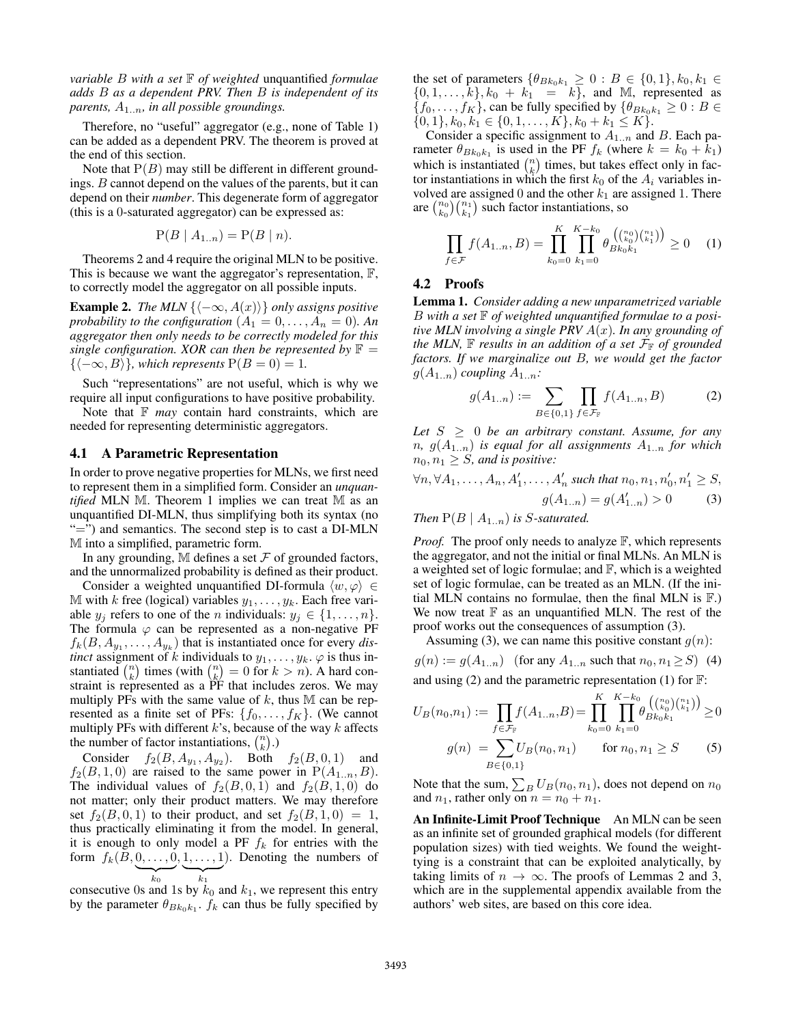*variable* B *with a set* F *of weighted* unquantified *formulae adds* B *as a dependent PRV. Then* B *is independent of its parents,* A1..n*, in all possible groundings.*

Therefore, no "useful" aggregator (e.g., none of Table 1) can be added as a dependent PRV. The theorem is proved at the end of this section.

Note that  $P(B)$  may still be different in different groundings. B cannot depend on the values of the parents, but it can depend on their *number*. This degenerate form of aggregator (this is a 0-saturated aggregator) can be expressed as:

$$
P(B | A_{1..n}) = P(B | n).
$$

Theorems 2 and 4 require the original MLN to be positive. This is because we want the aggregator's representation, F, to correctly model the aggregator on all possible inputs.

**Example 2.** *The MLN*  $\{\langle -\infty, A(x) \rangle\}$  *only assigns positive probability to the configuration*  $(A_1 = 0, \ldots, A_n = 0)$ . An *aggregator then only needs to be correctly modeled for this single configuration. XOR can then be represented by*  $\mathbb{F}$  =  ${ $\langle -\infty, B \rangle}$ *, which represents*  $P(B = 0) = 1$ *.*$ 

Such "representations" are not useful, which is why we require all input configurations to have positive probability.

Note that  $F$  *may* contain hard constraints, which are needed for representing deterministic aggregators.

#### 4.1 A Parametric Representation

In order to prove negative properties for MLNs, we first need to represent them in a simplified form. Consider an *unquantified* MLN M. Theorem 1 implies we can treat M as an unquantified DI-MLN, thus simplifying both its syntax (no "=") and semantics. The second step is to cast a DI-MLN M into a simplified, parametric form.

In any grounding,  $M$  defines a set  $F$  of grounded factors, and the unnormalized probability is defined as their product.

Consider a weighted unquantified DI-formula  $\langle w, \varphi \rangle \in$ M with k free (logical) variables  $y_1, \ldots, y_k$ . Each free variable  $y_j$  refers to one of the n individuals:  $y_j \in \{1, \ldots, n\}$ . The formula  $\varphi$  can be represented as a non-negative PF  $f_k(B, A_{y_1}, \ldots, A_{y_k})$  that is instantiated once for every *distinct* assignment of k individuals to  $y_1, \ldots, y_k$ .  $\varphi$  is thus instantiated  $\binom{n}{k}$  times (with  $\binom{n}{k} = 0$  for  $k > n$ ). A hard constraint is represented as a PF that includes zeros. We may multiply PFs with the same value of  $k$ , thus M can be represented as a finite set of PFs:  $\{f_0, \ldots, f_K\}$ . (We cannot multiply PFs with different  $k$ 's, because of the way  $k$  affects the number of factor instantiations,  $\binom{n}{k}$ .

Consider  $f_2(B, A_{y_1}, A_{y_2})$ . Both  $f_2(B, 0, 1)$  and  $f_2(B, 1, 0)$  are raised to the same power in  $P(A_{1..n}, B)$ . The individual values of  $f_2(B, 0, 1)$  and  $f_2(B, 1, 0)$  do not matter; only their product matters. We may therefore set  $f_2(B, 0, 1)$  to their product, and set  $f_2(B, 1, 0) = 1$ , thus practically eliminating it from the model. In general, it is enough to only model a PF  $f_k$  for entries with the form  $f_k(B, 0, \ldots, 0, 1, \ldots, 1)$ . Denoting the numbers of  $\overline{k_0}$  $\overbrace{k_1}$ 

consecutive 0s and 1s by  $k_0$  and  $k_1$ , we represent this entry by the parameter  $\theta_{Bk_0k_1}$ .  $f_k$  can thus be fully specified by

the set of parameters  $\{\theta_{Bk_0k_1} \ge 0 : B \in \{0,1\}, k_0, k_1 \in$  $\{0, 1, \ldots, k\}, k_0 + k_1 = k\}$ , and M, represented as  $\{f_0, \ldots, f_K\}$ , can be fully specified by  $\{\theta_{Bk_0k_1} \geq 0 : B \in$  $\{0, 1\}, k_0, k_1 \in \{0, 1, \ldots, K\}, k_0 + k_1 \leq K\}.$ 

Consider a specific assignment to  $A_{1..n}$  and B. Each parameter  $\theta_{Bk_0k_1}$  is used in the PF  $f_k$  (where  $k = k_0 + k_1$ ) which is instantiated  $\binom{n}{k}$  times, but takes effect only in factor instantiations in which the first  $k_0$  of the  $A_i$  variables involved are assigned 0 and the other  $k_1$  are assigned 1. There are  $\binom{n_0}{k_0}\binom{n_1}{k_1}$  such factor instantiations, so

$$
\prod_{f \in \mathcal{F}} f(A_{1..n}, B) = \prod_{k_0=0}^{K} \prod_{k_1=0}^{K-k_0} \theta_{Bk_0k_1}^{\binom{n_0}{k_0}\binom{n_1}{k_1}} \ge 0 \quad (1)
$$

### 4.2 Proofs

Lemma 1. *Consider adding a new unparametrized variable* B *with a set* F *of weighted unquantified formulae to a positive MLN involving a single PRV* A(x)*. In any grounding of the MLN,*  $\mathbb F$  *results in an addition of a set*  $\mathcal F_{\mathbb F}$  *of grounded factors. If we marginalize out* B*, we would get the factor*  $g(A_{1..n})$  *coupling*  $A_{1..n}$ *:* 

$$
g(A_{1..n}) := \sum_{B \in \{0,1\}} \prod_{f \in \mathcal{F}_{\mathbb{F}}} f(A_{1..n}, B) \tag{2}
$$

*Let*  $S \geq 0$  *be an arbitrary constant. Assume, for any*  $n, g(A_{1..n})$  *is equal for all assignments*  $A_{1..n}$  *for which*  $n_0, n_1 \geq S$ , and is positive:

$$
\forall n, \forall A_1, \dots, A_n, A'_1, \dots, A'_n \text{ such that } n_0, n_1, n'_0, n'_1 \ge S,
$$
  

$$
g(A_{1..n}) = g(A'_{1..n}) > 0 \tag{3}
$$

*Then*  $P(B \mid A_{1..n})$  *is S-saturated.* 

*Proof.* The proof only needs to analyze  $\mathbb{F}$ , which represents the aggregator, and not the initial or final MLNs. An MLN is a weighted set of logic formulae; and  $\mathbb{F}$ , which is a weighted set of logic formulae, can be treated as an MLN. (If the initial MLN contains no formulae, then the final MLN is  $\mathbb{F}$ .) We now treat  $\mathbb F$  as an unquantified MLN. The rest of the proof works out the consequences of assumption (3).

Assuming (3), we can name this positive constant  $g(n)$ :

 $g(n) := g(A_{1..n})$  (for any  $A_{1..n}$  such that  $n_0, n_1 \ge S$ ) (4) and using (2) and the parametric representation (1) for  $\mathbb{F}$ :

$$
U_B(n_0, n_1) := \prod_{f \in \mathcal{F}_F} f(A_{1..n}, B) = \prod_{k_0=0}^K \prod_{k_1=0}^{K-k_0} \theta_{Bk_0k_1}^{(\binom{n_0}{k_0} \binom{n_1}{k_1})} \ge 0
$$
  

$$
g(n) = \sum_{B \in \{0,1\}} U_B(n_0, n_1) \quad \text{for } n_0, n_1 \ge S \quad (5)
$$

Note that the sum,  $\sum_B U_B(n_0, n_1)$ , does not depend on  $n_0$ and  $n_1$ , rather only on  $n = n_0 + n_1$ .

An Infinite-Limit Proof Technique An MLN can be seen as an infinite set of grounded graphical models (for different population sizes) with tied weights. We found the weighttying is a constraint that can be exploited analytically, by taking limits of  $n \to \infty$ . The proofs of Lemmas 2 and 3, which are in the supplemental appendix available from the authors' web sites, are based on this core idea.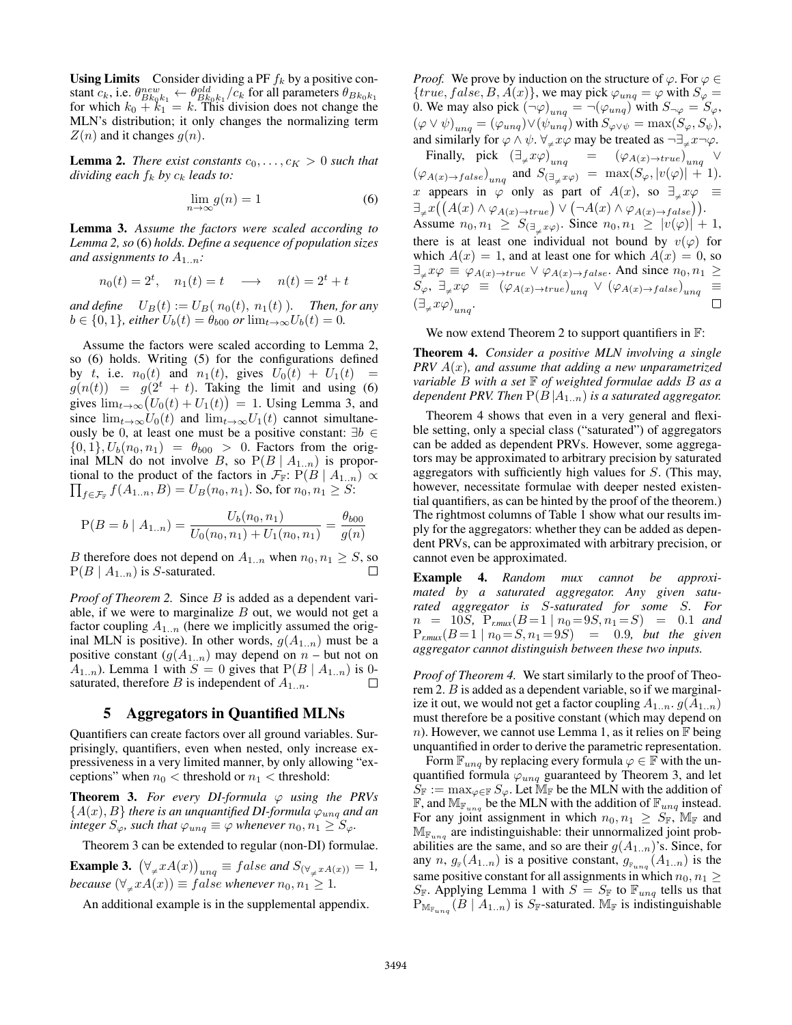**Using Limits** Consider dividing a PF  $f_k$  by a positive constant  $c_k$ , i.e.  $\theta_{Bk_0k_1}^{new} \leftarrow \theta_{Bk_0k_1}^{old}/c_k$  for all parameters  $\theta_{Bk_0k_1}$ for which  $k_0 + k_1 = k$ . This division does not change the MLN's distribution; it only changes the normalizing term  $Z(n)$  and it changes  $g(n)$ .

**Lemma 2.** *There exist constants*  $c_0, \ldots, c_K > 0$  *such that dividing each*  $f_k$  *by*  $c_k$  *leads to:* 

$$
\lim_{n \to \infty} g(n) = 1 \tag{6}
$$

Lemma 3. *Assume the factors were scaled according to Lemma 2, so* (6) *holds. Define a sequence of population sizes and assignments to*  $A_{1..n}$ *:* 

$$
n_0(t) = 2^t, \quad n_1(t) = t \quad \longrightarrow \quad n(t) = 2^t + t
$$

*and define*  $U_B(t) := U_B(n_0(t), n_1(t))$ *. Then, for any*  $b \in \{0, 1\}$ *, either*  $U_b(t) = \theta_{b00}$  or  $\lim_{t \to \infty} U_b(t) = 0$ *.* 

Assume the factors were scaled according to Lemma 2, so (6) holds. Writing (5) for the configurations defined by t, i.e.  $n_0(t)$  and  $n_1(t)$ , gives  $U_0(t) + U_1(t) =$  $g(n(t)) = g(2^t + t)$ . Taking the limit and using (6) gives  $\lim_{t\to\infty} (U_0(t) + U_1(t)) = 1$ . Using Lemma 3, and since  $\lim_{t\to\infty}U_0(t)$  and  $\lim_{t\to\infty}U_1(t)$  cannot simultaneously be 0, at least one must be a positive constant:  $\exists b \in \}$  $\{0, 1\}, U_b(n_0, n_1) = \theta_{b00} > 0$ . Factors from the original MLN do not involve B, so  $P(B \mid A_{1..n})$  is proportional to the product of the factors in  $\mathcal{F}_{\mathbb{F}}$ :  $P(B \mid A_{1..n}) \propto$  $\prod_{f \in \mathcal{F}_{\mathbb{F}}} f(A_{1..n}, B) = U_B(n_0, n_1)$ . So, for  $n_0, n_1 \geq S$ :

$$
P(B = b \mid A_{1..n}) = \frac{U_b(n_0, n_1)}{U_0(n_0, n_1) + U_1(n_0, n_1)} = \frac{\theta_{b00}}{g(n)}
$$

*B* therefore does not depend on  $A_{1..n}$  when  $n_0, n_1 \geq S$ , so  $P(B \mid A_{1..n})$  is S-saturated. П

*Proof of Theorem 2.* Since *B* is added as a dependent variable, if we were to marginalize  $B$  out, we would not get a factor coupling  $A_{1..n}$  (here we implicitly assumed the original MLN is positive). In other words,  $g(A_{1..n})$  must be a positive constant  $(g(A_{1..n})$  may depend on  $n$  – but not on  $A_{1..n}$ ). Lemma 1 with  $S = 0$  gives that  $P(B \mid A_{1..n})$  is 0saturated, therefore B is independent of  $A_{1..n}$ .  $\Box$ 

# 5 Aggregators in Quantified MLNs

Quantifiers can create factors over all ground variables. Surprisingly, quantifiers, even when nested, only increase expressiveness in a very limited manner, by only allowing "exceptions" when  $n_0$  < threshold or  $n_1$  < threshold:

**Theorem 3.** For every DI-formula  $\varphi$  using the PRVs  ${A(x), B}$  *there is an unquantified DI-formula*  $\varphi_{unq}$  *and an integer*  $S_{\varphi}$ *, such that*  $\varphi_{unq} \equiv \varphi$  *whenever*  $n_0, n_1 \geq S_{\varphi}$ *.* 

Theorem 3 can be extended to regular (non-DI) formulae.

**Example 3.**  $(\forall_{\neq} x A(x))_{ung} \equiv false$  and  $S_{(\forall_{\neq} x A(x))} = 1$ , *because*  $(\forall_{\neq} x A(x)) \equiv false$  *whenever*  $n_0, n_1 \geq 1$ *.* 

An additional example is in the supplemental appendix.

*Proof.* We prove by induction on the structure of  $\varphi$ . For  $\varphi \in$  ${true, false, B, A(x)}$ , we may pick  $\varphi_{unq} = \varphi$  with  $S_{\varphi} = \varphi$ 0. We may also pick  $(\neg \varphi)_{unq} = \neg(\varphi_{unq})$  with  $S_{\neg \varphi} = S_{\varphi}$ ,  $(\varphi \vee \psi)_{u n q} = (\varphi_{u n q}) \vee (\psi_{u n q})$  with  $S_{\varphi \vee \psi} = \max(S_\varphi, S_\psi),$ and similarly for  $\varphi \wedge \psi$ .  $\forall_{\neq} x \varphi$  may be treated as  $\neg \exists_{\neq} x \neg \varphi$ . Finally, pick  $(\exists_{\neq} x \varphi)_{unq}$  =  $(\varphi_{A(x) \to true})_{unq}$ ∨  $(\varphi_{A(x)\to false})_{ung}$  and  $S_{(\exists_{\neq} x \varphi)} = \max(S_{\varphi}, |v(\varphi)| + 1)$ . x appears in  $\varphi$  only as part of  $A(x)$ , so  $\exists_{\neq} x \varphi$   $\equiv$  $\exists_{\neq} x((A(x) \land \varphi_{A(x) \to true}) \lor (\neg A(x) \land \varphi_{A(x) \to false})).$ Assume  $n_0, n_1 \geq S_{(\exists_{\neq} x \varphi)}$ . Since  $n_0, n_1 \geq |v(\varphi)| + 1$ , there is at least one individual not bound by  $v(\varphi)$  for which  $A(x) = 1$ , and at least one for which  $A(x) = 0$ , so  $\exists_{\neq} x \varphi \equiv \varphi_{A(x) \to true} \vee \varphi_{A(x) \to false}$ . And since  $n_0, n_1 \ge$  $S_{\varphi}, \exists_{\neq} x \varphi \equiv (\varphi_{A(x) \to true})_{unq} \lor (\varphi_{A(x) \to false})_{unq} \equiv$  $(\exists x\check{\omega})$  $\Box$ 

$$
\frac{1}{2}x\varphi\big)_{unq}.
$$

We now extend Theorem 2 to support quantifiers in  $\mathbb{F}$ :

Theorem 4. *Consider a positive MLN involving a single PRV* A(x)*, and assume that adding a new unparametrized variable* B *with a set* F *of weighted formulae adds* B *as a dependent PRV. Then*  $P(B|A_{1..n})$  *is a saturated aggregator.* 

Theorem 4 shows that even in a very general and flexible setting, only a special class ("saturated") of aggregators can be added as dependent PRVs. However, some aggregators may be approximated to arbitrary precision by saturated aggregators with sufficiently high values for S. (This may, however, necessitate formulae with deeper nested existential quantifiers, as can be hinted by the proof of the theorem.) The rightmost columns of Table 1 show what our results imply for the aggregators: whether they can be added as dependent PRVs, can be approximated with arbitrary precision, or cannot even be approximated.

Example 4. *Random mux cannot be approximated by a saturated aggregator. Any given saturated aggregator is* S*-saturated for some* S*. For*  $n = 10S$ ,  $P_{r,mux}(B=1 | n_0=9S, n_1=S) = 0.1$  and  $P_{rmuux}(B=1 \mid n_0 = S, n_1 = 9S) = 0.9$ , but the given *aggregator cannot distinguish between these two inputs.*

*Proof of Theorem 4.* We start similarly to the proof of Theorem 2. B is added as a dependent variable, so if we marginalize it out, we would not get a factor coupling  $A_{1..n}$ .  $g(A_{1..n})$ must therefore be a positive constant (which may depend on n). However, we cannot use Lemma 1, as it relies on  $\mathbb F$  being unquantified in order to derive the parametric representation.

Form  $\mathbb{F}_{unq}$  by replacing every formula  $\varphi \in \mathbb{F}$  with the unquantified formula  $\varphi_{unq}$  guaranteed by Theorem 3, and let  $S_{\mathbb{F}} := \max_{\varphi \in \mathbb{F}} S_{\varphi}$ . Let  $\mathbb{M}_{\mathbb{F}}$  be the MLN with the addition of  $\mathbb{F}$ , and  $\mathbb{M}_{\mathbb{F}_{unq}}$  be the MLN with the addition of  $\mathbb{F}_{unq}$  instead. For any joint assignment in which  $n_0, n_1 \geq S_{\mathbb{F}}$ ,  $\mathbb{M}_{\mathbb{F}}$  and  $\mathbb{M}_{\mathbb{F}_{u nq}}$  are indistinguishable: their unnormalized joint probabilities are the same, and so are their  $g(A_{1..n})$ 's. Since, for any n,  $g_{\scriptscriptstyle F}(A_{1..n})$  is a positive constant,  $g_{\scriptscriptstyle Funq}(A_{1..n})$  is the same positive constant for all assignments in which  $n_0, n_1 \geq$  $S_{\mathbb{F}}$ . Applying Lemma 1 with  $S = S_{\mathbb{F}}$  to  $\mathbb{F}_{unq}$  tells us that  $\overline{P}_{\mathbb{M}_{\mathbb{F}_{unq}}}(B \mid A_{1..n})$  is  $S_{\mathbb{F}}$ -saturated.  $\mathbb{M}_{\mathbb{F}}$  is indistinguishable